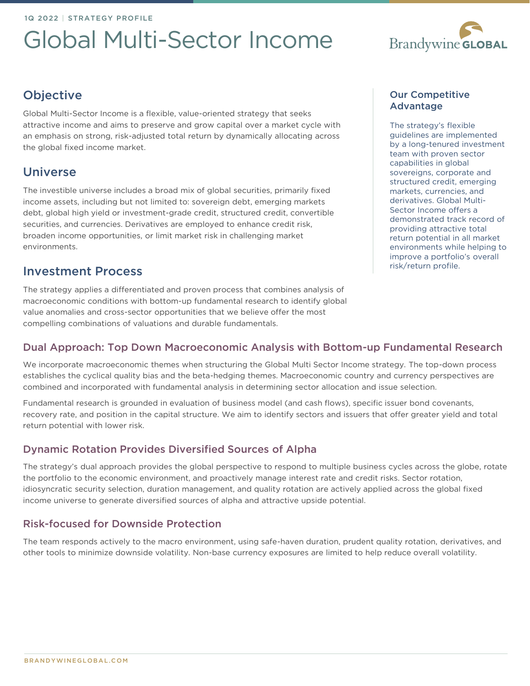# Global Multi-Sector Income



# **Objective**

Global Multi-Sector Income is a flexible, value-oriented strategy that seeks attractive income and aims to preserve and grow capital over a market cycle with an emphasis on strong, risk-adjusted total return by dynamically allocating across the global fixed income market.

# Universe

The investible universe includes a broad mix of global securities, primarily fixed income assets, including but not limited to: sovereign debt, emerging markets debt, global high yield or investment-grade credit, structured credit, convertible securities, and currencies. Derivatives are employed to enhance credit risk, broaden income opportunities, or limit market risk in challenging market environments.

# Investment Process

The strategy applies a differentiated and proven process that combines analysis of macroeconomic conditions with bottom-up fundamental research to identify global value anomalies and cross-sector opportunities that we believe offer the most compelling combinations of valuations and durable fundamentals.

#### Our Competitive Advantage

The strategy's flexible guidelines are implemented by a long-tenured investment team with proven sector capabilities in global sovereigns, corporate and structured credit, emerging markets, currencies, and derivatives. Global Multi-Sector Income offers a demonstrated track record of providing attractive total return potential in all market environments while helping to improve a portfolio's overall risk/return profile.

## Dual Approach: Top Down Macroeconomic Analysis with Bottom-up Fundamental Research

We incorporate macroeconomic themes when structuring the Global Multi Sector Income strategy. The top-down process establishes the cyclical quality bias and the beta-hedging themes. Macroeconomic country and currency perspectives are combined and incorporated with fundamental analysis in determining sector allocation and issue selection.

Fundamental research is grounded in evaluation of business model (and cash flows), specific issuer bond covenants, recovery rate, and position in the capital structure. We aim to identify sectors and issuers that offer greater yield and total return potential with lower risk.

## Dynamic Rotation Provides Diversified Sources of Alpha

The strategy's dual approach provides the global perspective to respond to multiple business cycles across the globe, rotate the portfolio to the economic environment, and proactively manage interest rate and credit risks. Sector rotation, idiosyncratic security selection, duration management, and quality rotation are actively applied across the global fixed income universe to generate diversified sources of alpha and attractive upside potential.

## Risk-focused for Downside Protection

The team responds actively to the macro environment, using safe-haven duration, prudent quality rotation, derivatives, and other tools to minimize downside volatility. Non-base currency exposures are limited to help reduce overall volatility.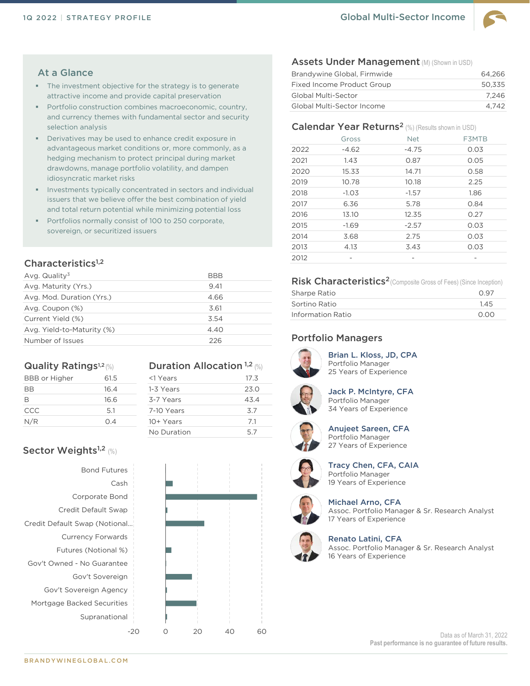

#### At a Glance

- The investment objective for the strategy is to generate attractive income and provide capital preservation
- Portfolio construction combines macroeconomic, country, and currency themes with fundamental sector and security selection analysis
- **E** Derivatives may be used to enhance credit exposure in advantageous market conditions or, more commonly, as a hedging mechanism to protect principal during market drawdowns, manage portfolio volatility, and dampen idiosyncratic market risks
- Investments typically concentrated in sectors and individual issuers that we believe offer the best combination of yield and total return potential while minimizing potential loss
- Portfolios normally consist of 100 to 250 corporate, sovereign, or securitized issuers

#### Characteristics<sup>1,2</sup>

| Avg. Quality <sup>3</sup>  | <b>BBB</b> |
|----------------------------|------------|
| Avg. Maturity (Yrs.)       | 9.41       |
| Avg. Mod. Duration (Yrs.)  | 4.66       |
| Avg. Coupon (%)            | 3.61       |
| Current Yield (%)          | 3.54       |
| Avg. Yield-to-Maturity (%) | 4.40       |
| Number of Issues           | 226        |

#### Quality Ratings<sup>1,2</sup> (%)

| <b>BBB</b> or Higher | 61.5 |
|----------------------|------|
| BB                   | 16.4 |
| B                    | 16.6 |
| CCC                  | 5.1  |
| N/R                  | 0.4  |
|                      |      |

#### **Duration Allocation 1,2 (%)**

| <1 Years    | 17.3 |
|-------------|------|
| 1-3 Years   | 23.0 |
| 3-7 Years   | 43.4 |
| 7-10 Years  | 3.7  |
| 10+ Years   | 7.1  |
| No Duration | 57   |

### Sector Weights<sup>1,2</sup> (%)

Bond Futures Cash Corporate Bond Credit Default Swap Credit Default Swap (Notional… Currency Forwards Futures (Notional %) Gov't Owned - No Guarantee Gov't Sovereign Gov't Sovereign Agency Mortgage Backed Securities Supranational



#### Assets Under Management (M) (Shown in USD)

| Brandywine Global, Firmwide       | 64.266 |
|-----------------------------------|--------|
| Fixed Income Product Group        | 50.335 |
| Global Multi-Sector               | 7.246  |
| <b>Global Multi-Sector Income</b> | 4.742  |

#### Calendar Year Returns<sup>2</sup> (%) (Results shown in USD)

|      | Gross   | <b>Net</b> | F3MTB |
|------|---------|------------|-------|
| 2022 | $-4.62$ | $-4.75$    | 0.03  |
| 2021 | 1.43    | 0.87       | 0.05  |
| 2020 | 15.33   | 14.71      | 0.58  |
| 2019 | 10.78   | 10.18      | 2.25  |
| 2018 | $-1.03$ | $-1.57$    | 1.86  |
| 2017 | 6.36    | 5.78       | 0.84  |
| 2016 | 13.10   | 12.35      | 0.27  |
| 2015 | $-1.69$ | $-2.57$    | 0.03  |
| 2014 | 3.68    | 2.75       | 0.03  |
| 2013 | 4.13    | 3.43       | 0.03  |
| 2012 |         |            |       |

#### Risk Characteristics<sup>2</sup> (Composite Gross of Fees) (Since Inception)

| Sharpe Ratio      | 0.97 |
|-------------------|------|
| Sortino Ratio     | 1.45 |
| Information Ratio | 0.00 |

#### Portfolio Managers



Brian L. Kloss, JD, CPA Portfolio Manager 25 Years of Experience



Jack P. McIntyre, CFA Portfolio Manager 34 Years of Experience



Anujeet Sareen, CFA Portfolio Manager 27 Years of Experience



Tracy Chen, CFA, CAIA Portfolio Manager 19 Years of Experience



Michael Arno, CFA Assoc. Portfolio Manager & Sr. Research Analyst 17 Years of Experience



Renato Latini, CFA Assoc. Portfolio Manager & Sr. Research Analyst 16 Years of Experience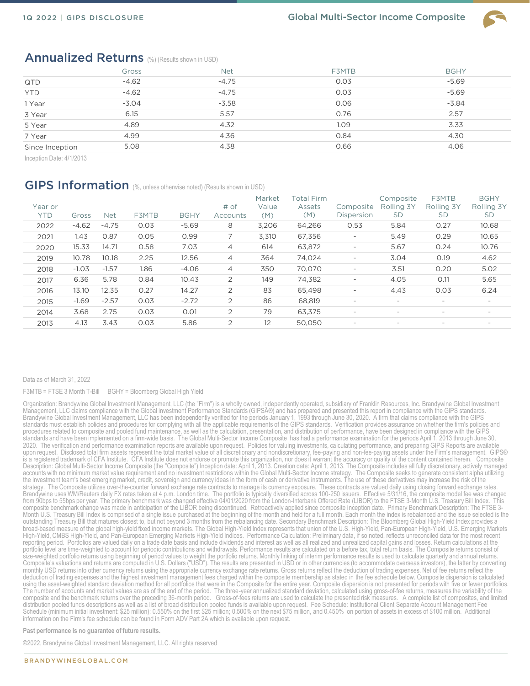

#### Annualized Returns (%) (Results shown in USD)

|                 | Gross   | <b>Net</b> | F3MTB | <b>BGHY</b> |
|-----------------|---------|------------|-------|-------------|
| QTD             | $-4.62$ | $-4.75$    | 0.03  | $-5.69$     |
| <b>YTD</b>      | $-4.62$ | $-4.75$    | 0.03  | $-5.69$     |
| 1 Year          | $-3.04$ | $-3.58$    | 0.06  | $-3.84$     |
| 3 Year          | 6.15    | 5.57       | 0.76  | 2.57        |
| 5 Year          | 4.89    | 4.32       | 1.09  | 3.33        |
| 7 Year          | 4.99    | 4.36       | 0.84  | 4.30        |
| Since Inception | 5.08    | 4.38       | 0.66  | 4.06        |

Inception Date: 4/1/2013

#### GIPS Information (%, unless otherwise noted) (Results shown in USD)

| Year or<br><b>YTD</b> | Gross   | <b>Net</b> | F3MTB | <b>BGHY</b> | # of<br>Accounts | Market<br>Value<br>(M) | Total Firm<br>Assets<br>(M) | Composite<br>Dispersion  | Composite<br>Rolling 3Y<br><b>SD</b> | <b>F3MTB</b><br>Rolling 3Y<br><b>SD</b> | <b>BGHY</b><br>Rolling 3Y<br><b>SD</b> |
|-----------------------|---------|------------|-------|-------------|------------------|------------------------|-----------------------------|--------------------------|--------------------------------------|-----------------------------------------|----------------------------------------|
| 2022                  | $-4.62$ | $-4.75$    | 0.03  | $-5.69$     | 8                | 3.206                  | 64,266                      | 0.53                     | 5.84                                 | 0.27                                    | 10.68                                  |
| 2021                  | 1.43    | 0.87       | 0.05  | 0.99        |                  | 3,310                  | 67,356                      | $\overline{\phantom{a}}$ | 5.49                                 | 0.29                                    | 10.65                                  |
| 2020                  | 15.33   | 14.71      | 0.58  | 7.03        | 4                | 614                    | 63,872                      | $\overline{\phantom{a}}$ | 5.67                                 | 0.24                                    | 10.76                                  |
| 2019                  | 10.78   | 10.18      | 2.25  | 12.56       | 4                | 364                    | 74.024                      | $\overline{\phantom{a}}$ | 3.04                                 | 0.19                                    | 4.62                                   |
| 2018                  | $-1.03$ | $-1.57$    | 1.86  | $-4.06$     | 4                | 350                    | 70.070                      | $\overline{\phantom{a}}$ | 3.51                                 | 0.20                                    | 5.02                                   |
| 2017                  | 6.36    | 5.78       | 0.84  | 10.43       | $\overline{2}$   | 149                    | 74,382                      | $\overline{\phantom{a}}$ | 4.05                                 | O.11                                    | 5.65                                   |
| 2016                  | 13.10   | 12.35      | 0.27  | 14.27       | $\overline{2}$   | 83                     | 65,498                      | $\overline{\phantom{a}}$ | 4.43                                 | 0.03                                    | 6.24                                   |
| 2015                  | $-1.69$ | $-2.57$    | 0.03  | $-2.72$     | $\overline{2}$   | 86                     | 68,819                      | $\overline{\phantom{a}}$ | $\overline{\phantom{0}}$             | $\overline{\phantom{0}}$                | $\overline{\phantom{a}}$               |
| 2014                  | 3.68    | 2.75       | 0.03  | 0.01        | $\overline{2}$   | 79                     | 63.375                      | $\overline{\phantom{0}}$ | $\overline{\phantom{a}}$             | $\overline{\phantom{a}}$                | $\overline{\phantom{a}}$               |
| 2013                  | 4.13    | 3.43       | 0.03  | 5.86        | 2                | 12                     | 50.050                      | $\overline{\phantom{0}}$ | $\overline{\phantom{a}}$             | $\overline{\phantom{a}}$                |                                        |
|                       |         |            |       |             |                  |                        |                             |                          |                                      |                                         |                                        |

#### Data as of March 31, 2022

F3MTB = FTSE 3 Month T-Bill BGHY = Bloomberg Global High Yield

Organization: Brandywine Global Investment Management, LLC (the "Firm") is a wholly owned, independently operated, subsidiary of Franklin Resources, Inc. Brandywine Global Investment Management, LLC claims compliance with the Global investment Performance Standards (GIPSî) and has prepared and presented this report in compliance with the GIPS standards. Brandywine Global Investment Management, LLC has been independently verified for the periods January 1, 1993 through June 30, 2020. A firm that claims compliance with the GIPS standards must establish policies and procedures for complying with all the applicable requirements of the GIPS standards. Verification provides assurance on whether the firm's policies and procedures related to composite and pooled fund maintenance, as well as the calculation, presentation, and distribution of performance, have been designed in compliance with the GIPS standards and have been implemented on a firm-wide basis. The Global Multi-Sector Income Composite has had a performance examination for the periods April 1, 2013 through June 30, 2020. The verification and performance examination reports are available upon request. Policies for valuing investments, calculating performance, and preparing GIPS Reports are available upon request. Disclosed total firm assets represent the total market value of all discretionary and nondiscretionary, fee-paying and non-fee-paying assets under the Firm's management. GIPS® is a registered trademark of CFA Institute. CFA Institute does not endorse or promote this organization, nor does it warrant the accuracy or quality of the content contained herein. Composite Description: Global Multi-Sector Income Composite (the "Composite") Inception date: April 1, 2013. Creation date: April 1, 2013. The Composite includes all fully discretionary, actively managed accounts with no minimum market value requirement and no investment restrictions within the Global Multi-Sector Income strategy. The Composite seeks to generate consistent alpha utilizing<br>the investment team's best emergi strategy. The Composite utilizes over-the-counter forward exchange rate contracts to manage its currency exposure. These contracts are valued daily using closing forward exchange rates. Brandywine uses WM/Reuters daily FX rates taken at 4 p.m. London time. The portfolio is typically diversified across 100-250 issuers. Effective 5/31/16, the composite model fee was changed from 90bps to 55bps per year. The primary benchmark was changed effective 04/01/2020 from the London-Interbank Offered Rate (LIBOR) to the FTSE 3-Month U.S. Treasury Bill Index. This composite benchmark change was made in anticipation of the LIBOR being discontinued. Retroactively applied since composite inception date. Primary Benchmark Description: The FTSE 3- Month U.S. Treasury Bill Index is comprised of a single issue purchased at the beginning of the month and held for a full month. Each month the index is rebalanced and the issue selected is the<br>outstanding Treasury Bill th broad-based measure of the global high-yield fixed income markets. The Global High-Yield Index represents that union of the U.S. High-Yield, Pan-European High-Yield, U.S. Emerging Markets High-Yield, CMBS High-Yield, and Pan-Éuropean Emerging Markets High-Yield Indices. Performance Calculation: Preliminary data, if so noted, reflects unreconciled data for the most recent<br>reporting period. Portfolios are val portfolio level are time-weighted to account for periodic contributions and withdrawals. Performance results are calculated on a before tax, total return basis. The Composite returns consist of size-weighted portfolio returns using beginning of period values to weight the portfolio returns. Monthly linking of interim performance results is used to calculate quarterly and annual returns.<br>Composite's valuations and monthly USD returns into other currency returns using the appropriate currency exchange rate returns. Gross returns reflect the deduction of trading expenses. Net of fee returns reflect the deduction of trading expenses and the highest investment management fees charged within the composite membership as stated in the fee schedule below. Composite dispersion is calculated using the asset-weighted standard deviation method for all portfolios that were in the Composite for the entire year. Composite dispersion is not presented for periods with five or fewer portfolios. The number of accounts and market values are as of the end of the period. The three-year annualized standard deviation, calculated using gross-of-fee returns, measures the variability of the composite and the benchmark returns over the preceding 36-month period. Gross-of-fees returns are used to calculate the presented risk measures. A complete list of composites, and limited<br>distribution pooled funds descript Schedule (minimum initial investment: \$25 million): 0.550% on the first \$25 million; 0.500% on the next \$75 million, and 0.450% on portion of assets in excess of \$100 million. Additional information on the Firm's fee schedule can be found in Form ADV Part 2A which is available upon request.

**Past performance is no guarantee of future results.** 

©2022, Brandywine Global Investment Management, LLC. All rights reserved